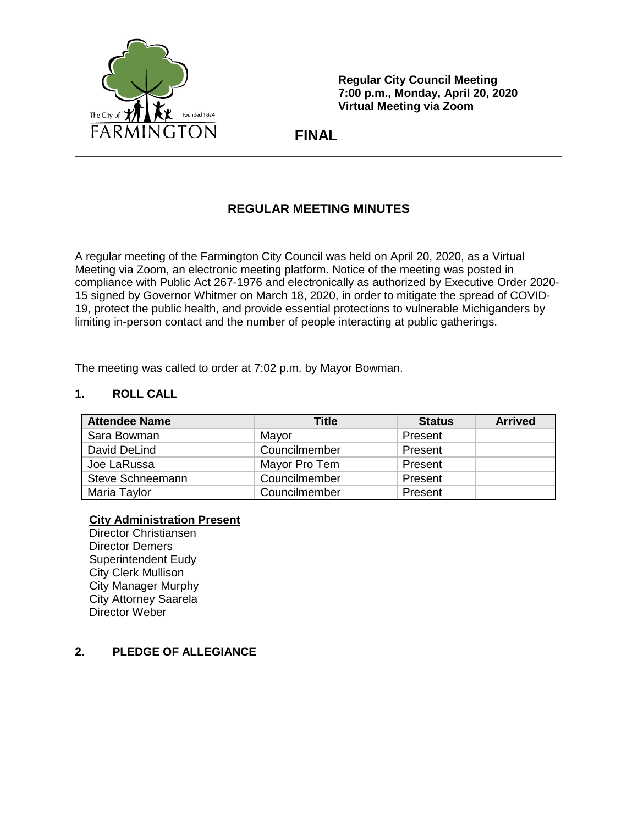

**Regular City Council Meeting 7:00 p.m., Monday, April 20, 2020 Virtual Meeting via Zoom**

 **FINAL**

# **REGULAR MEETING MINUTES**

A regular meeting of the Farmington City Council was held on April 20, 2020, as a Virtual Meeting via Zoom, an electronic meeting platform. Notice of the meeting was posted in compliance with Public Act 267-1976 and electronically as authorized by Executive Order 2020- 15 signed by Governor Whitmer on March 18, 2020, in order to mitigate the spread of COVID-19, protect the public health, and provide essential protections to vulnerable Michiganders by limiting in-person contact and the number of people interacting at public gatherings.

The meeting was called to order at 7:02 p.m. by Mayor Bowman.

## **1. ROLL CALL**

| <b>Attendee Name</b> | Title         | <b>Status</b> | <b>Arrived</b> |
|----------------------|---------------|---------------|----------------|
| Sara Bowman          | Mayor         | Present       |                |
| David DeLind         | Councilmember | Present       |                |
| Joe LaRussa          | Mayor Pro Tem | Present       |                |
| Steve Schneemann     | Councilmember | Present       |                |
| Maria Taylor         | Councilmember | Present       |                |

#### **City Administration Present**

Director Christiansen Director Demers Superintendent Eudy City Clerk Mullison City Manager Murphy City Attorney Saarela Director Weber

## **2. PLEDGE OF ALLEGIANCE**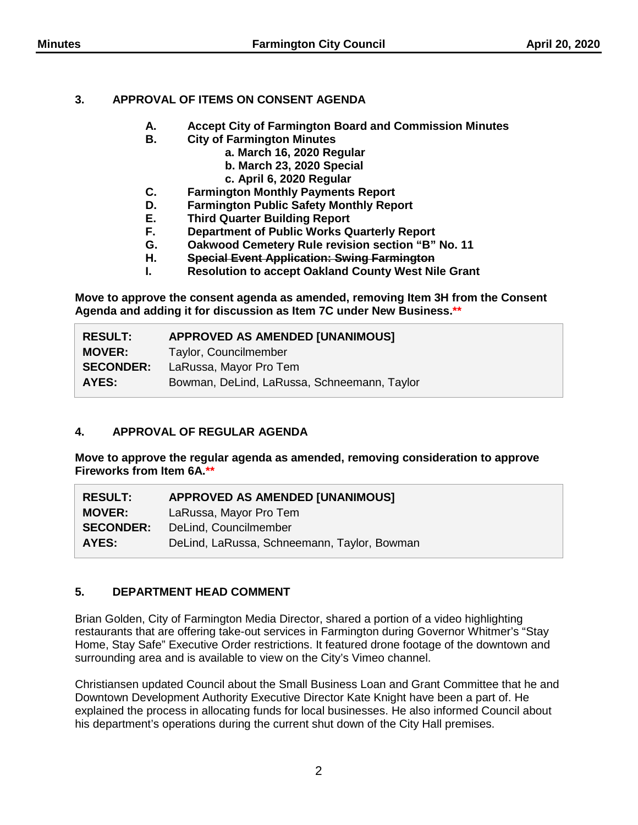## **3. APPROVAL OF ITEMS ON CONSENT AGENDA**

- **A. Accept City of Farmington Board and Commission Minutes**
- **B. City of Farmington Minutes**
	- **a. March 16, 2020 Regular**
	- **b. March 23, 2020 Special**
	- **c. April 6, 2020 Regular**
- **C. Farmington Monthly Payments Report**
- **D. Farmington Public Safety Monthly Report**
- **E. Third Quarter Building Report**
- **F. Department of Public Works Quarterly Report**
- **G. Oakwood Cemetery Rule revision section "B" No. 11**
- **H. Special Event Application: Swing Farmington**
- **I. Resolution to accept Oakland County West Nile Grant**

**Move to approve the consent agenda as amended, removing Item 3H from the Consent Agenda and adding it for discussion as Item 7C under New Business.\*\***

| <b>RESULT:</b>   | <b>APPROVED AS AMENDED [UNANIMOUS]</b>      |  |
|------------------|---------------------------------------------|--|
| <b>MOVER:</b>    | Taylor, Councilmember                       |  |
| <b>SECONDER:</b> | LaRussa, Mayor Pro Tem                      |  |
| AYES:            | Bowman, DeLind, LaRussa, Schneemann, Taylor |  |

# **4. APPROVAL OF REGULAR AGENDA**

**Move to approve the regular agenda as amended, removing consideration to approve Fireworks from Item 6A.\*\***

| <b>RESULT:</b>   | APPROVED AS AMENDED [UNANIMOUS]             |  |
|------------------|---------------------------------------------|--|
| <b>MOVER:</b>    | LaRussa, Mayor Pro Tem                      |  |
| <b>SECONDER:</b> | DeLind, Councilmember                       |  |
| AYES:            | DeLind, LaRussa, Schneemann, Taylor, Bowman |  |

# **5. DEPARTMENT HEAD COMMENT**

Brian Golden, City of Farmington Media Director, shared a portion of a video highlighting restaurants that are offering take-out services in Farmington during Governor Whitmer's "Stay Home, Stay Safe" Executive Order restrictions. It featured drone footage of the downtown and surrounding area and is available to view on the City's Vimeo channel.

Christiansen updated Council about the Small Business Loan and Grant Committee that he and Downtown Development Authority Executive Director Kate Knight have been a part of. He explained the process in allocating funds for local businesses. He also informed Council about his department's operations during the current shut down of the City Hall premises.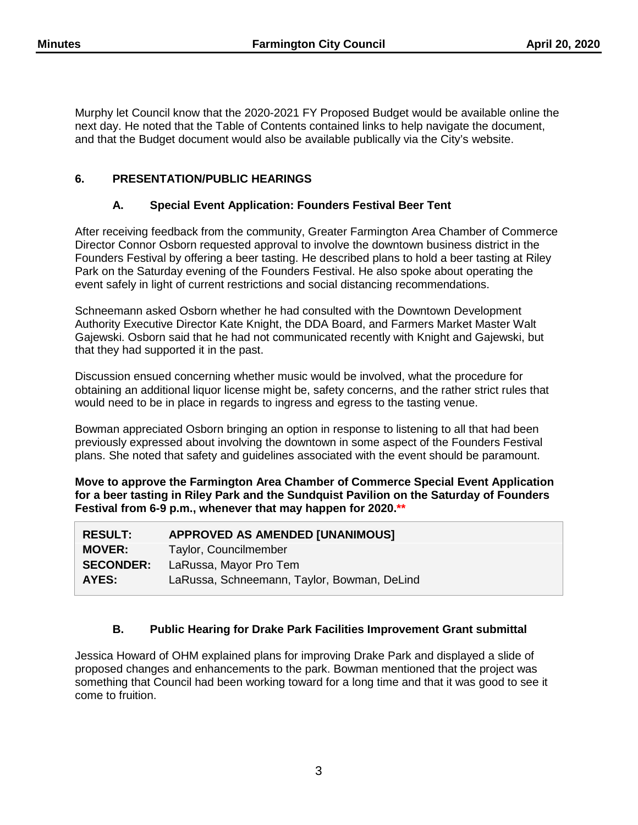Murphy let Council know that the 2020-2021 FY Proposed Budget would be available online the next day. He noted that the Table of Contents contained links to help navigate the document, and that the Budget document would also be available publically via the City's website.

## **6. PRESENTATION/PUBLIC HEARINGS**

## **A. Special Event Application: Founders Festival Beer Tent**

After receiving feedback from the community, Greater Farmington Area Chamber of Commerce Director Connor Osborn requested approval to involve the downtown business district in the Founders Festival by offering a beer tasting. He described plans to hold a beer tasting at Riley Park on the Saturday evening of the Founders Festival. He also spoke about operating the event safely in light of current restrictions and social distancing recommendations.

Schneemann asked Osborn whether he had consulted with the Downtown Development Authority Executive Director Kate Knight, the DDA Board, and Farmers Market Master Walt Gajewski. Osborn said that he had not communicated recently with Knight and Gajewski, but that they had supported it in the past.

Discussion ensued concerning whether music would be involved, what the procedure for obtaining an additional liquor license might be, safety concerns, and the rather strict rules that would need to be in place in regards to ingress and egress to the tasting venue.

Bowman appreciated Osborn bringing an option in response to listening to all that had been previously expressed about involving the downtown in some aspect of the Founders Festival plans. She noted that safety and guidelines associated with the event should be paramount.

**Move to approve the Farmington Area Chamber of Commerce Special Event Application for a beer tasting in Riley Park and the Sundquist Pavilion on the Saturday of Founders Festival from 6-9 p.m., whenever that may happen for 2020.\*\***

| <b>RESULT:</b>   | <b>APPROVED AS AMENDED [UNANIMOUS]</b>      |
|------------------|---------------------------------------------|
| <b>MOVER:</b>    | Taylor, Councilmember                       |
| <b>SECONDER:</b> | LaRussa, Mayor Pro Tem                      |
| AYES:            | LaRussa, Schneemann, Taylor, Bowman, DeLind |

# **B. Public Hearing for Drake Park Facilities Improvement Grant submittal**

Jessica Howard of OHM explained plans for improving Drake Park and displayed a slide of proposed changes and enhancements to the park. Bowman mentioned that the project was something that Council had been working toward for a long time and that it was good to see it come to fruition.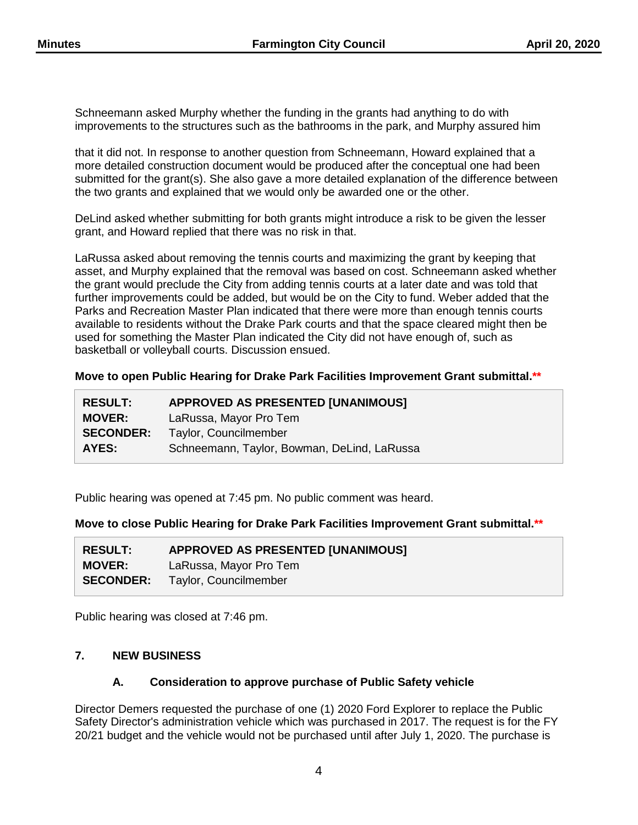Schneemann asked Murphy whether the funding in the grants had anything to do with improvements to the structures such as the bathrooms in the park, and Murphy assured him

that it did not. In response to another question from Schneemann, Howard explained that a more detailed construction document would be produced after the conceptual one had been submitted for the grant(s). She also gave a more detailed explanation of the difference between the two grants and explained that we would only be awarded one or the other.

DeLind asked whether submitting for both grants might introduce a risk to be given the lesser grant, and Howard replied that there was no risk in that.

LaRussa asked about removing the tennis courts and maximizing the grant by keeping that asset, and Murphy explained that the removal was based on cost. Schneemann asked whether the grant would preclude the City from adding tennis courts at a later date and was told that further improvements could be added, but would be on the City to fund. Weber added that the Parks and Recreation Master Plan indicated that there were more than enough tennis courts available to residents without the Drake Park courts and that the space cleared might then be used for something the Master Plan indicated the City did not have enough of, such as basketball or volleyball courts. Discussion ensued.

#### **Move to open Public Hearing for Drake Park Facilities Improvement Grant submittal.\*\***

| <b>RESULT:</b>   | <b>APPROVED AS PRESENTED [UNANIMOUS]</b>    |  |
|------------------|---------------------------------------------|--|
| <b>MOVER:</b>    | LaRussa, Mayor Pro Tem                      |  |
| <b>SECONDER:</b> | Taylor, Councilmember                       |  |
| AYES:            | Schneemann, Taylor, Bowman, DeLind, LaRussa |  |

Public hearing was opened at 7:45 pm. No public comment was heard.

**Move to close Public Hearing for Drake Park Facilities Improvement Grant submittal.\*\***

| <b>RESULT:</b>   | APPROVED AS PRESENTED [UNANIMOUS] |
|------------------|-----------------------------------|
| <b>MOVER:</b>    | LaRussa, Mayor Pro Tem            |
| <b>SECONDER:</b> | Taylor, Councilmember             |

Public hearing was closed at 7:46 pm.

## **7. NEW BUSINESS**

## **A. Consideration to approve purchase of Public Safety vehicle**

Director Demers requested the purchase of one (1) 2020 Ford Explorer to replace the Public Safety Director's administration vehicle which was purchased in 2017. The request is for the FY 20/21 budget and the vehicle would not be purchased until after July 1, 2020. The purchase is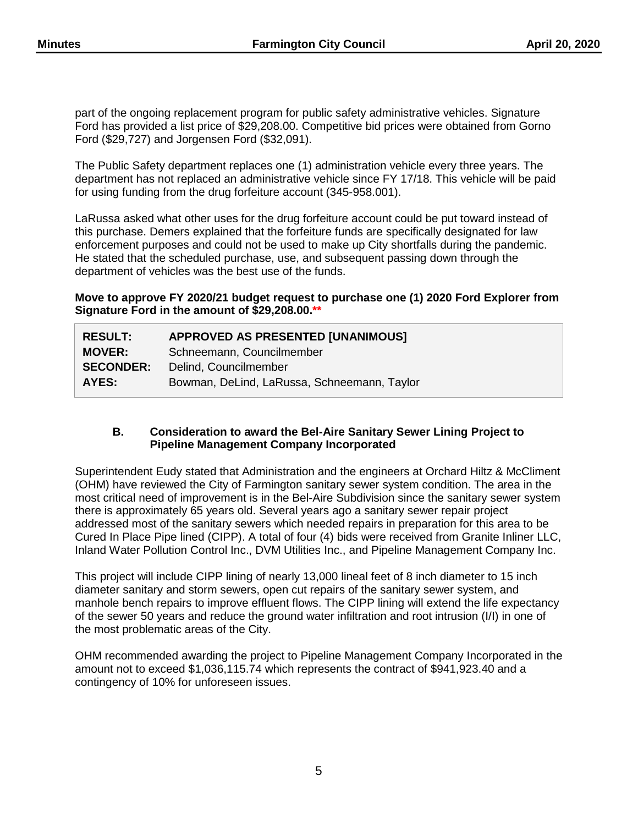part of the ongoing replacement program for public safety administrative vehicles. Signature Ford has provided a list price of \$29,208.00. Competitive bid prices were obtained from Gorno Ford (\$29,727) and Jorgensen Ford (\$32,091).

The Public Safety department replaces one (1) administration vehicle every three years. The department has not replaced an administrative vehicle since FY 17/18. This vehicle will be paid for using funding from the drug forfeiture account (345-958.001).

LaRussa asked what other uses for the drug forfeiture account could be put toward instead of this purchase. Demers explained that the forfeiture funds are specifically designated for law enforcement purposes and could not be used to make up City shortfalls during the pandemic. He stated that the scheduled purchase, use, and subsequent passing down through the department of vehicles was the best use of the funds.

**Move to approve FY 2020/21 budget request to purchase one (1) 2020 Ford Explorer from Signature Ford in the amount of \$29,208.00.\*\***

| <b>RESULT:</b>   | <b>APPROVED AS PRESENTED [UNANIMOUS]</b>    |
|------------------|---------------------------------------------|
| <b>MOVER:</b>    | Schneemann, Councilmember                   |
| <b>SECONDER:</b> | Delind, Councilmember                       |
| AYES:            | Bowman, DeLind, LaRussa, Schneemann, Taylor |

#### **B. Consideration to award the Bel-Aire Sanitary Sewer Lining Project to Pipeline Management Company Incorporated**

Superintendent Eudy stated that Administration and the engineers at Orchard Hiltz & McCliment (OHM) have reviewed the City of Farmington sanitary sewer system condition. The area in the most critical need of improvement is in the Bel-Aire Subdivision since the sanitary sewer system there is approximately 65 years old. Several years ago a sanitary sewer repair project addressed most of the sanitary sewers which needed repairs in preparation for this area to be Cured In Place Pipe lined (CIPP). A total of four (4) bids were received from Granite Inliner LLC, Inland Water Pollution Control Inc., DVM Utilities Inc., and Pipeline Management Company Inc.

This project will include CIPP lining of nearly 13,000 lineal feet of 8 inch diameter to 15 inch diameter sanitary and storm sewers, open cut repairs of the sanitary sewer system, and manhole bench repairs to improve effluent flows. The CIPP lining will extend the life expectancy of the sewer 50 years and reduce the ground water infiltration and root intrusion (I/I) in one of the most problematic areas of the City.

OHM recommended awarding the project to Pipeline Management Company Incorporated in the amount not to exceed \$1,036,115.74 which represents the contract of \$941,923.40 and a contingency of 10% for unforeseen issues.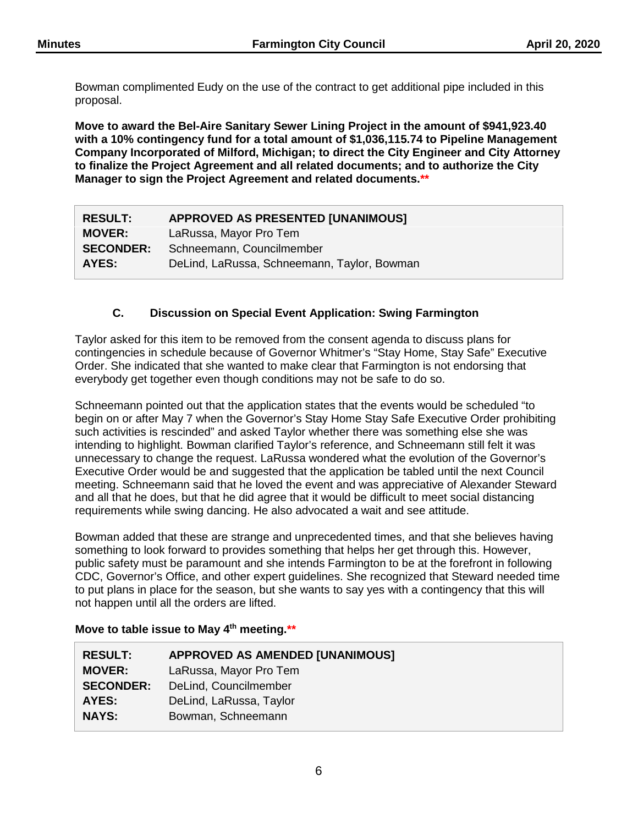Bowman complimented Eudy on the use of the contract to get additional pipe included in this proposal.

**Move to award the Bel-Aire Sanitary Sewer Lining Project in the amount of \$941,923.40 with a 10% contingency fund for a total amount of \$1,036,115.74 to Pipeline Management Company Incorporated of Milford, Michigan; to direct the City Engineer and City Attorney to finalize the Project Agreement and all related documents; and to authorize the City Manager to sign the Project Agreement and related documents.\*\***

| <b>RESULT:</b>   | <b>APPROVED AS PRESENTED [UNANIMOUS]</b>    |  |
|------------------|---------------------------------------------|--|
| <b>MOVER:</b>    | LaRussa, Mayor Pro Tem                      |  |
| <b>SECONDER:</b> | Schneemann, Councilmember                   |  |
| AYES:            | DeLind, LaRussa, Schneemann, Taylor, Bowman |  |

# **C. Discussion on Special Event Application: Swing Farmington**

Taylor asked for this item to be removed from the consent agenda to discuss plans for contingencies in schedule because of Governor Whitmer's "Stay Home, Stay Safe" Executive Order. She indicated that she wanted to make clear that Farmington is not endorsing that everybody get together even though conditions may not be safe to do so.

Schneemann pointed out that the application states that the events would be scheduled "to begin on or after May 7 when the Governor's Stay Home Stay Safe Executive Order prohibiting such activities is rescinded" and asked Taylor whether there was something else she was intending to highlight. Bowman clarified Taylor's reference, and Schneemann still felt it was unnecessary to change the request. LaRussa wondered what the evolution of the Governor's Executive Order would be and suggested that the application be tabled until the next Council meeting. Schneemann said that he loved the event and was appreciative of Alexander Steward and all that he does, but that he did agree that it would be difficult to meet social distancing requirements while swing dancing. He also advocated a wait and see attitude.

Bowman added that these are strange and unprecedented times, and that she believes having something to look forward to provides something that helps her get through this. However, public safety must be paramount and she intends Farmington to be at the forefront in following CDC, Governor's Office, and other expert guidelines. She recognized that Steward needed time to put plans in place for the season, but she wants to say yes with a contingency that this will not happen until all the orders are lifted.

# **Move to table issue to May 4th meeting.\*\***

| <b>RESULT:</b>   | <b>APPROVED AS AMENDED [UNANIMOUS]</b> |
|------------------|----------------------------------------|
| <b>MOVER:</b>    | LaRussa, Mayor Pro Tem                 |
| <b>SECONDER:</b> | DeLind, Councilmember                  |
| AYES:            | DeLind, LaRussa, Taylor                |
| <b>NAYS:</b>     | Bowman, Schneemann                     |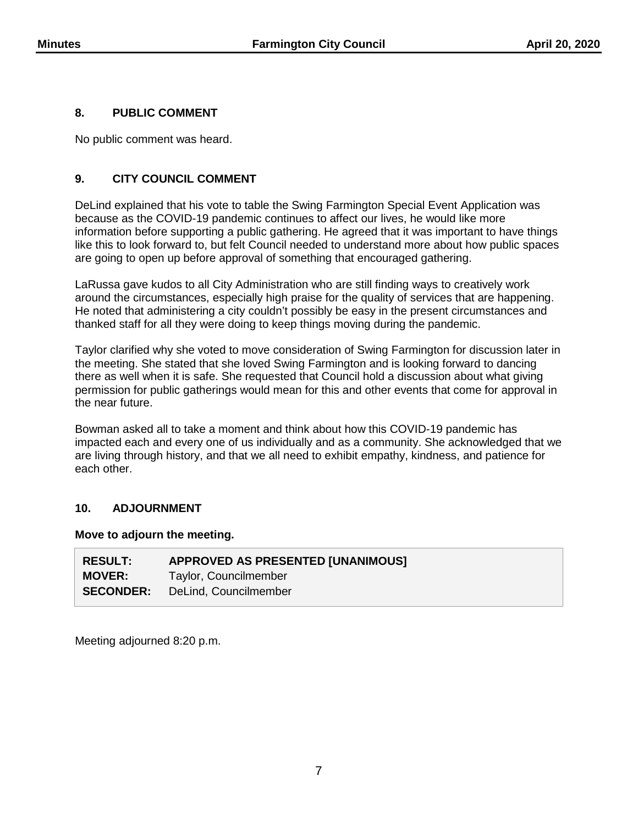## **8. PUBLIC COMMENT**

No public comment was heard.

## **9. CITY COUNCIL COMMENT**

DeLind explained that his vote to table the Swing Farmington Special Event Application was because as the COVID-19 pandemic continues to affect our lives, he would like more information before supporting a public gathering. He agreed that it was important to have things like this to look forward to, but felt Council needed to understand more about how public spaces are going to open up before approval of something that encouraged gathering.

LaRussa gave kudos to all City Administration who are still finding ways to creatively work around the circumstances, especially high praise for the quality of services that are happening. He noted that administering a city couldn't possibly be easy in the present circumstances and thanked staff for all they were doing to keep things moving during the pandemic.

Taylor clarified why she voted to move consideration of Swing Farmington for discussion later in the meeting. She stated that she loved Swing Farmington and is looking forward to dancing there as well when it is safe. She requested that Council hold a discussion about what giving permission for public gatherings would mean for this and other events that come for approval in the near future.

Bowman asked all to take a moment and think about how this COVID-19 pandemic has impacted each and every one of us individually and as a community. She acknowledged that we are living through history, and that we all need to exhibit empathy, kindness, and patience for each other.

## **10. ADJOURNMENT**

#### **Move to adjourn the meeting.**

| <b>RESULT:</b>   | APPROVED AS PRESENTED [UNANIMOUS] |
|------------------|-----------------------------------|
| <b>MOVER:</b>    | Taylor, Councilmember             |
| <b>SECONDER:</b> | DeLind, Councilmember             |

Meeting adjourned 8:20 p.m.